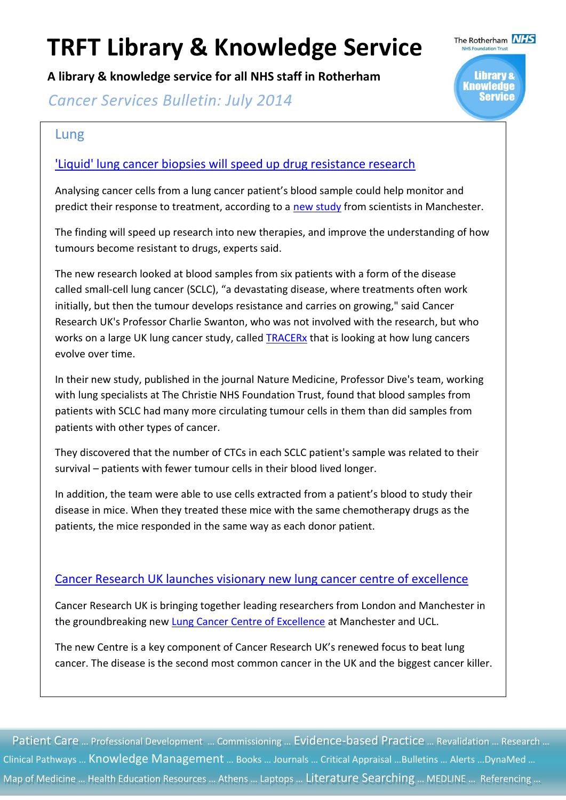**A library & knowledge service for all NHS staff in Rotherham**

**Cancer Services Bulletin: July 2014** 

### Lung

#### ['Liquid' lung cancer biopsies will speed up drug resistance research](http://www.cancerresearchuk.org/about-us/cancer-news/news-report/liquid-lung-cancer-biopsies-will-speed-up-drug-resistance-research)

Analysing cancer cells from a lung cancer patient's blood sample could help monitor and predict their response to treatment, according to a [new study](http://www.nature.com/nm/journal/vaop/ncurrent/full/nm.3600.html) from scientists in Manchester.

The finding will speed up research into new therapies, and improve the understanding of how tumours become resistant to drugs, experts said.

The new research looked at blood samples from six patients with a form of the disease called small-cell lung cancer (SCLC), "a devastating disease, where treatments often work initially, but then the tumour develops resistance and carries on growing," said Cancer Research UK's Professor Charlie Swanton, who was not involved with the research, but who works on a large UK lung cancer study, called [TRACERx](http://www.cancerresearchuk.org/about-us/cancer-news/press-release/new-research-to-revolutionise-understanding-of-lung-cancer) that is looking at how lung cancers evolve over time.

In their new study, published in the journal Nature Medicine, Professor Dive's team, working with lung specialists at The Christie NHS Foundation Trust, found that blood samples from patients with SCLC had many more circulating tumour cells in them than did samples from patients with other types of cancer.

They discovered that the number of CTCs in each SCLC patient's sample was related to their survival – patients with fewer tumour cells in their blood lived longer.

In addition, the team were able to use cells extracted from a patient's blood to study their disease in mice. When they treated these mice with the same chemotherapy drugs as the patients, the mice responded in the same way as each donor patient.

#### [Cancer Research UK launches visionary new lung cancer centre of excellence](http://www.cancerresearchuk.org/about-us/cancer-news/press-release/cancer-research-uk-launches-visionary-new-lung-cancer-centre-of-excellence)

Cancer Research UK is bringing together leading researchers from London and Manchester in the groundbreaking new [Lung Cancer Centre of Excellence](http://www.cruklungcentre.org/) at Manchester and UCL.

The new Centre is a key component of Cancer Research UK's renewed focus to beat lung cancer. The disease is the second most common cancer in the UK and the biggest cancer killer.

Patient Care ... Professional Development ... Commissioning ... Evidence-based Practice ... Revalidation ... Research ... Clinical Pathways … Knowledge Management … Books … Journals … Critical Appraisal …Bulletins … Alerts …DynaMed … Map of Medicine … Health Education Resources … Athens … Laptops … Literature Searching … MEDLINE … Referencing …



The Rotherham **NHS**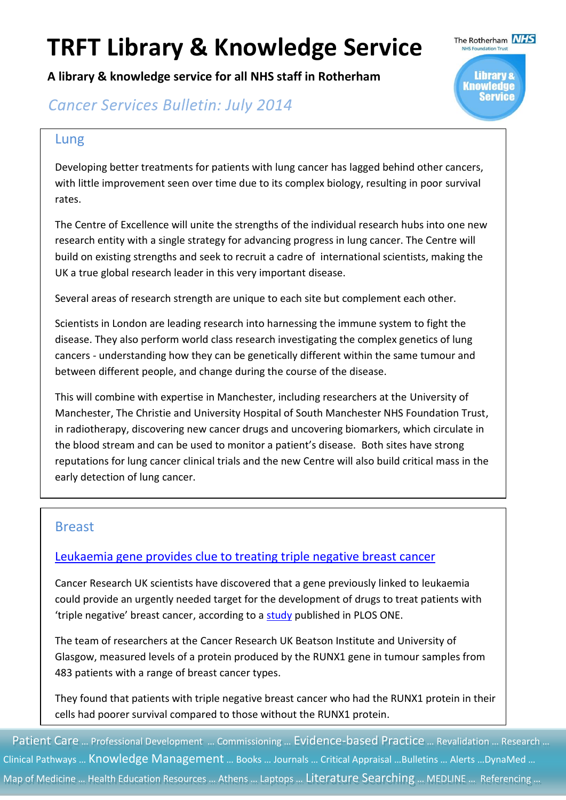**A library & knowledge service for all NHS staff in Rotherham**



### **Cancer Services Bulletin: July 2014**

#### Lung

Developing better treatments for patients with lung cancer has lagged behind other cancers, with little improvement seen over time due to its complex biology, resulting in poor survival rates.

The Centre of Excellence will unite the strengths of the individual research hubs into one new research entity with a single strategy for advancing progress in lung cancer. The Centre will build on existing strengths and seek to recruit a cadre of international scientists, making the UK a true global research leader in this very important disease.

Several areas of research strength are unique to each site but complement each other.

Scientists in London are leading research into harnessing the immune system to fight the disease. They also perform world class research investigating the complex genetics of lung cancers - understanding how they can be genetically different within the same tumour and between different people, and change during the course of the disease.

This will combine with expertise in Manchester, including researchers at the University of Manchester, The Christie and University Hospital of South Manchester NHS Foundation Trust, in radiotherapy, discovering new cancer drugs and uncovering biomarkers, which circulate in the blood stream and can be used to monitor a patient's disease. Both sites have strong reputations for lung cancer clinical trials and the new Centre will also build critical mass in the early detection of lung cancer.

#### Breast

#### [Leukaemia gene provides clue to treating triple negative breast cancer](http://www.cancerresearchuk.org/about-us/cancer-news/press-release/leukaemia-gene-provides-clue-to-treating-triple-negative-breast-cancer)

Cancer Research UK scientists have discovered that a gene previously linked to leukaemia could provide an urgently needed target for the development of drugs to treat patients with 'triple negative' breast cancer, according to a [study](http://dx.plos.org/10.1371/journal.pone.0100759) published in PLOS ONE.

The team of researchers at the Cancer Research UK Beatson Institute and University of Glasgow, measured levels of a protein produced by the RUNX1 gene in tumour samples from 483 patients with a range of breast cancer types.

They found that patients with triple negative breast cancer who had the RUNX1 protein in their cells had poorer survival compared to those without the RUNX1 protein.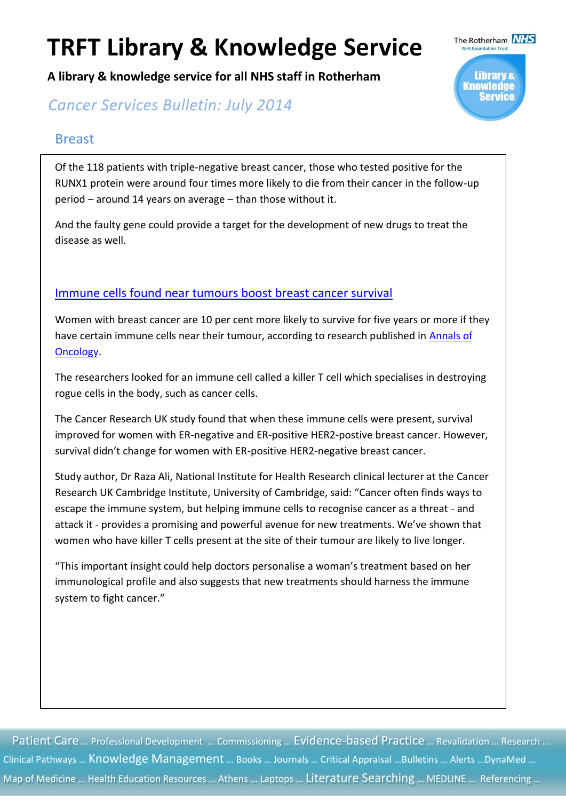**A library & knowledge service for all NHS staff in Rotherham**

**Cancer Services Bulletin: July 2014** 

#### Breast

Of the 118 patients with triple-negative breast cancer, those who tested positive for the RUNX1 protein were around four times more likely to die from their cancer in the follow-up period – around 14 years on average – than those without it.

And the faulty gene could provide a target for the development of new drugs to treat the disease as well.

#### [Immune cells found near tumours boost breast cancer survival](http://www.cancerresearchuk.org/about-us/cancer-news/press-release/immune-cells-found-near-tumours-boost-breast-cancer-survival)

Women with breast cancer are 10 per cent more likely to survive for five years or more if they have certain immune cells near their tumour, according to research published in Annals of [Oncology.](http://www.ncbi.nlm.nih.gov/pubmed/24915873)

The researchers looked for an immune cell called a killer T cell which specialises in destroying rogue cells in the body, such as cancer cells.

The Cancer Research UK study found that when these immune cells were present, survival improved for women with ER-negative and ER-positive HER2-postive breast cancer. However, survival didn't change for women with ER-positive HER2-negative breast cancer.

Study author, Dr Raza Ali, National Institute for Health Research clinical lecturer at the Cancer Research UK Cambridge Institute, University of Cambridge, said: "Cancer often finds ways to escape the immune system, but helping immune cells to recognise cancer as a threat - and attack it - provides a promising and powerful avenue for new treatments. We've shown that women who have killer T cells present at the site of their tumour are likely to live longer.

"This important insight could help doctors personalise a woman's treatment based on her immunological profile and also suggests that new treatments should harness the immune system to fight cancer."

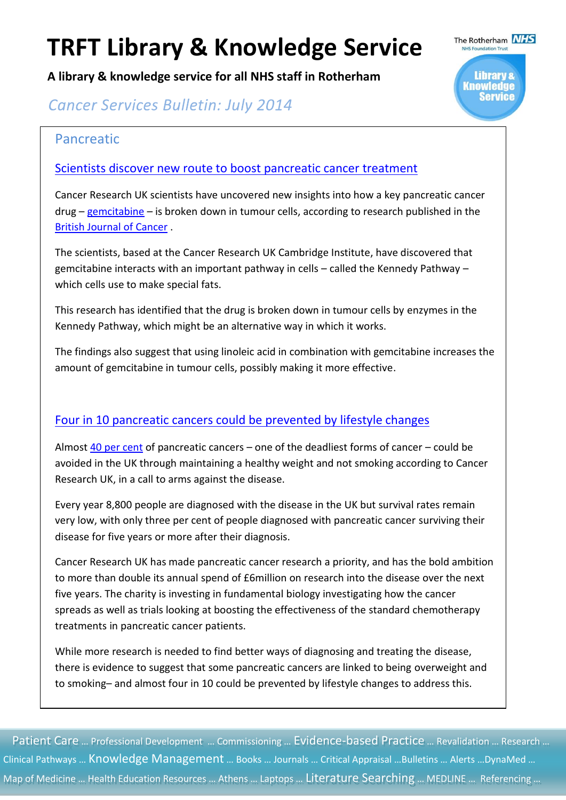**A library & knowledge service for all NHS staff in Rotherham**

**Cancer Services Bulletin: July 2014** 

#### Pancreatic

[Scientists discover new route to boost pancreatic cancer treatment](http://www.cancerresearchuk.org/about-us/cancer-news/press-release/scientists-discover-new-route-to-boost-pancreatic-cancer-treatment)

Cancer Research UK scientists have uncovered new insights into how a key pancreatic cancer drug – [gemcitabine](http://www.cancerresearchuk.org/cancer-help/about-cancer/treatment/cancer-drugs/gemcitabine) – is broken down in tumour cells, according to research published in the [British Journal of Cancer](http://www.unboundmedicine.com/medline/citation/24874484/Gemcitabine_diphosphate_choline_is_a_major_metabolite_linked_to_the_Kennedy_pathway_in_pancreatic_cancer_models_in_vivo_) .

The scientists, based at the Cancer Research UK Cambridge Institute, have discovered that gemcitabine interacts with an important pathway in cells – called the Kennedy Pathway – which cells use to make special fats.

This research has identified that the drug is broken down in tumour cells by enzymes in the Kennedy Pathway, which might be an alternative way in which it works.

The findings also suggest that using linoleic acid in combination with gemcitabine increases the amount of gemcitabine in tumour cells, possibly making it more effective.

#### [Four in 10 pancreatic cancers could be prevented by lifestyle changes](http://www.cancerresearchuk.org/about-us/cancer-news/press-release/four-in-10-pancreatic-cancers-could-be-prevented-by-lifestyle-changes)

Almost [40 per cent](http://www.ncbi.nlm.nih.gov/pmc/articles/PMC3252065/pdf/bjc2011489a.pdf) of pancreatic cancers – one of the deadliest forms of cancer – could be avoided in the UK through maintaining a healthy weight and not smoking according to Cancer Research UK, in a call to arms against the disease.

Every year 8,800 people are diagnosed with the disease in the UK but survival rates remain very low, with only three per cent of people diagnosed with pancreatic cancer surviving their disease for five years or more after their diagnosis.

Cancer Research UK has made pancreatic cancer research a priority, and has the bold ambition to more than double its annual spend of £6million on research into the disease over the next five years. The charity is investing in fundamental biology investigating how the cancer spreads as well as trials looking at boosting the effectiveness of the standard chemotherapy treatments in pancreatic cancer patients.

While more research is needed to find better ways of diagnosing and treating the disease, there is evidence to suggest that some pancreatic cancers are linked to being overweight and to smoking– and almost four in 10 could be prevented by lifestyle changes to address this.

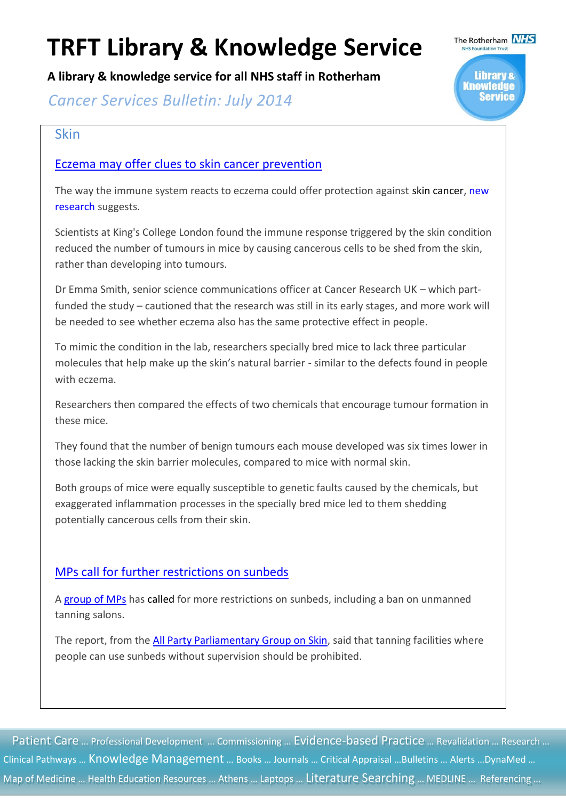**A library & knowledge service for all NHS staff in Rotherham**

**Cancer Services Bulletin: July 2014** 

#### Skin

#### [Eczema may offer clues to skin cancer prevention](http://www.cancerresearchuk.org/about-us/cancer-news/news-report/eczema-may-offer-clues-to-skin-cancer-prevention)

The way the immune system reacts to eczema could offer protection against skin cancer, new [research](http://elifesciences.org/content/3/e01888) suggests.

The Rotherham **NHS** 

Library & Knowledge

ervice

Scientists at King's College London found the immune response triggered by the skin condition reduced the number of tumours in mice by causing cancerous cells to be shed from the skin, rather than developing into tumours.

Dr Emma Smith, senior science communications officer at Cancer Research UK – which partfunded the study – cautioned that the research was still in its early stages, and more work will be needed to see whether eczema also has the same protective effect in people.

To mimic the condition in the lab, researchers specially bred mice to lack three particular molecules that help make up the skin's natural barrier - similar to the defects found in people with eczema.

Researchers then compared the effects of two chemicals that encourage tumour formation in these mice.

They found that the number of benign tumours each mouse developed was six times lower in those lacking the skin barrier molecules, compared to mice with normal skin.

Both groups of mice were equally susceptible to genetic faults caused by the chemicals, but exaggerated inflammation processes in the specially bred mice led to them shedding potentially cancerous cells from their skin.

#### [MPs call for further restrictions on sunbeds](http://www.cancerresearchuk.org/about-us/cancer-news/news-report/mps-call-for-further-restrictions-on-sunbeds)

A [group of MPs](http://www.appgs.co.uk/sunbeds-inquiry-2014/) has called for more restrictions on sunbeds, including a ban on unmanned tanning salons.

The report, from the [All Party Parliamentary Group on Skin,](http://www.appgs.co.uk/sunbeds-inquiry-2014/) said that tanning facilities where people can use sunbeds without supervision should be prohibited.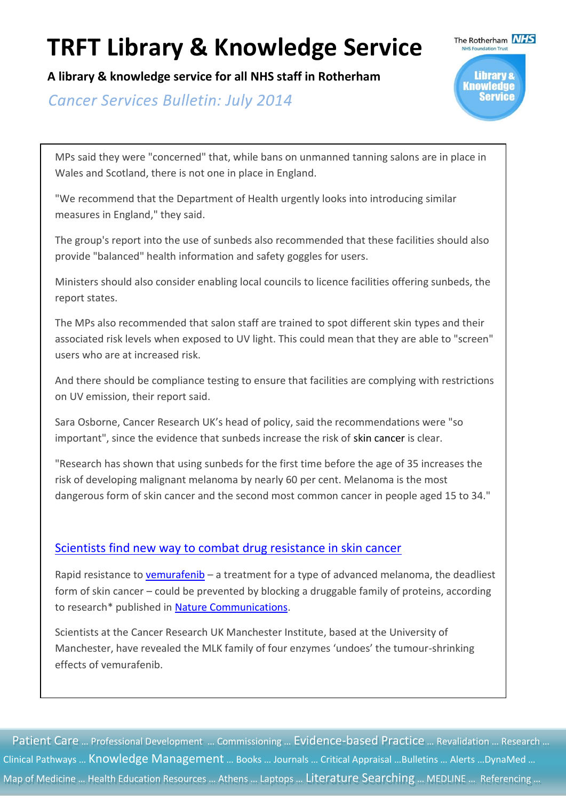**A library & knowledge service for all NHS staff in Rotherham**

**Cancer Services Bulletin: July 2014** 



MPs said they were "concerned" that, while bans on unmanned tanning salons are in place in Wales and Scotland, there is not one in place in England.

"We recommend that the Department of Health urgently looks into introducing similar measures in England," they said.

The group's report into the use of sunbeds also recommended that these facilities should also provide "balanced" health information and safety goggles for users.

Ministers should also consider enabling local councils to licence facilities offering sunbeds, the report states.

The MPs also recommended that salon staff are trained to spot different skin types and their associated risk levels when exposed to UV light. This could mean that they are able to "screen" users who are at increased risk.

And there should be compliance testing to ensure that facilities are complying with restrictions on UV emission, their report said.

Sara Osborne, Cancer Research UK's head of policy, said the recommendations were "so important", since the evidence that sunbeds increase the risk of skin cancer is clear.

"Research has shown that using sunbeds for the first time before the age of 35 increases the risk of developing malignant melanoma by nearly 60 per cent. Melanoma is the most dangerous form of skin cancer and the second most common cancer in people aged 15 to 34."

#### [Scientists find new way to combat drug resistance in skin cancer](http://www.cancerresearchuk.org/about-us/cancer-news/press-release/scientists-find-new-way-to-combat-drug-resistance-in-skin-cancer)

Rapid resistance to [vemurafenib](http://www.cancerresearchuk.org/cancer-help/about-cancer/treatment/cancer-drugs/vemurafenib) – a treatment for a type of advanced melanoma, the deadliest form of skin cancer – could be prevented by blocking a druggable family of proteins, according to research\* published in [Nature Communications.](http://www.nature.com/ncomms/2014/140522/ncomms4901/pdf/ncomms4901.pdf)

Scientists at the Cancer Research UK Manchester Institute, based at the University of Manchester, have revealed the MLK family of four enzymes 'undoes' the tumour-shrinking effects of vemurafenib.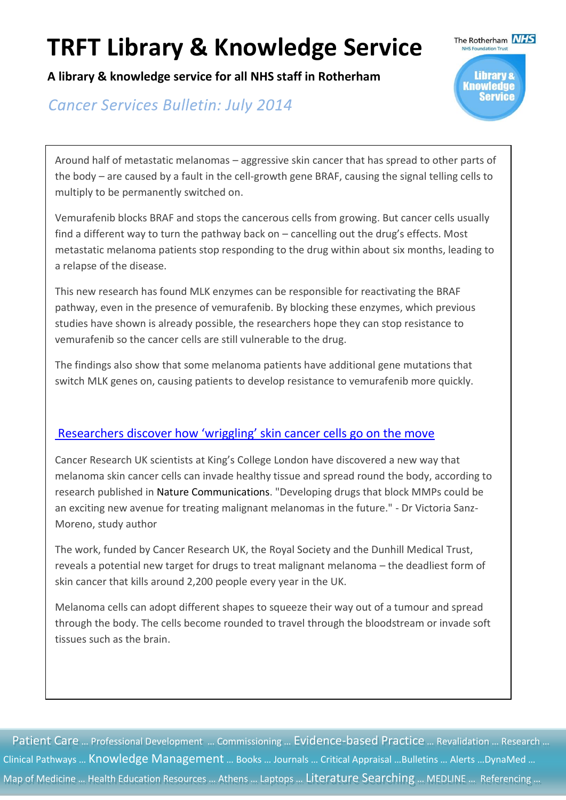**A library & knowledge service for all NHS staff in Rotherham**

**Cancer Services Bulletin: July 2014** 

Library & Knowledge

The Rotherham **NHS** 

Around half of metastatic melanomas – aggressive skin cancer that has spread to other parts of the body – are caused by a fault in the cell-growth gene BRAF, causing the signal telling cells to multiply to be permanently switched on.

Vemurafenib blocks BRAF and stops the cancerous cells from growing. But cancer cells usually find a different way to turn the pathway back on – cancelling out the drug's effects. Most metastatic melanoma patients stop responding to the drug within about six months, leading to a relapse of the disease.

This new research has found MLK enzymes can be responsible for reactivating the BRAF pathway, even in the presence of vemurafenib. By blocking these enzymes, which previous studies have shown is already possible, the researchers hope they can stop resistance to vemurafenib so the cancer cells are still vulnerable to the drug.

The findings also show that some melanoma patients have additional gene mutations that switch MLK genes on, causing patients to develop resistance to vemurafenib more quickly.

#### [Researchers discover how 'wriggling' skin cancer cells go on the move](http://www.cancerresearchuk.org/about-us/cancer-news/press-release/researchers-discover-how-%E2%80%98wriggling%E2%80%99-skin-cancer-cells-go-on-the-move)

Cancer Research UK scientists at King's College London have discovered a new way that melanoma skin cancer cells can invade healthy tissue and spread round the body, according to research published in Nature Communications. "Developing drugs that block MMPs could be an exciting new avenue for treating malignant melanomas in the future." - Dr Victoria Sanz-Moreno, study author

The work, funded by Cancer Research UK, the Royal Society and the Dunhill Medical Trust, reveals a potential new target for drugs to treat malignant melanoma – the deadliest form of skin cancer that kills around 2,200 people every year in the UK.

Melanoma cells can adopt different shapes to squeeze their way out of a tumour and spread through the body. The cells become rounded to travel through the bloodstream or invade soft tissues such as the brain.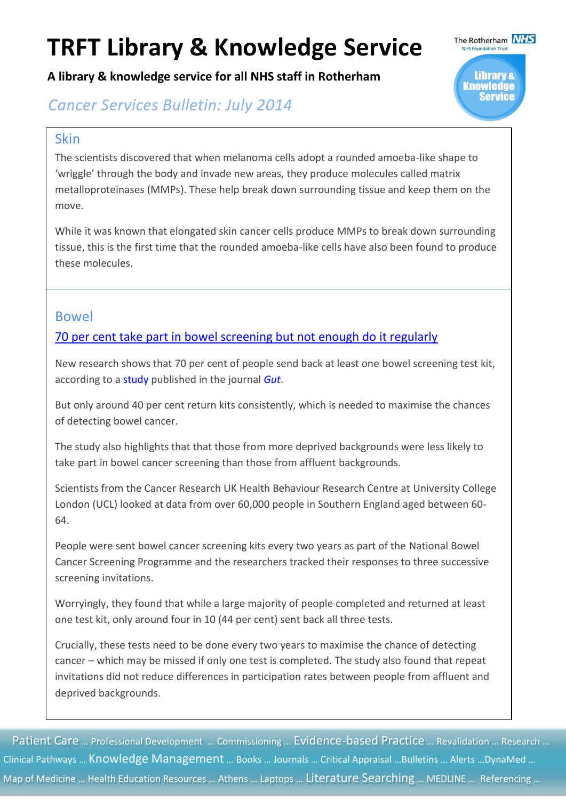**A library & knowledge service for all NHS staff in Rotherham**



### **Cancer Services Bulletin: July 2014**

#### Skin

The scientists discovered that when melanoma cells adopt a rounded amoeba-like shape to 'wriggle' through the body and invade new areas, they produce molecules called matrix metalloproteinases (MMPs). These help break down surrounding tissue and keep them on the move.

While it was known that elongated skin cancer cells produce MMPs to break down surrounding tissue, this is the first time that the rounded amoeba-like cells have also been found to produce these molecules.

#### Bowel

#### [70 per cent take part in bowel screening but not enough do it regularly](http://www.cancerresearchuk.org/about-us/cancer-news/podcast/70-per-cent-take-part-in-bowel-screening-but-not-enough-do-it-regularly)

New research shows that 70 per cent of people send back at least one bowel screening test kit, according to a [study](http://gut.bmj.com/content/early/2014/05/07/gutjnl-2013-306144.full.pdf+html) published in the journal *[Gut](http://gut.bmj.com/content/early/2014/05/07/gutjnl-2013-306144.full)*.

But only around 40 per cent return kits consistently, which is needed to maximise the chances of detecting bowel cancer.

The study also highlights that that those from more deprived backgrounds were less likely to take part in bowel cancer screening than those from affluent backgrounds.

Scientists from the Cancer Research UK Health Behaviour Research Centre at University College London (UCL) looked at data from over 60,000 people in Southern England aged between 60- 64.

People were sent bowel cancer screening kits every two years as part of the National Bowel Cancer Screening Programme and the researchers tracked their responses to three successive screening invitations.

Worryingly, they found that while a large majority of people completed and returned at least one test kit, only around four in 10 (44 per cent) sent back all three tests.

Crucially, these tests need to be done every two years to maximise the chance of detecting cancer – which may be missed if only one test is completed. The study also found that repeat invitations did not reduce differences in participation rates between people from affluent and deprived backgrounds.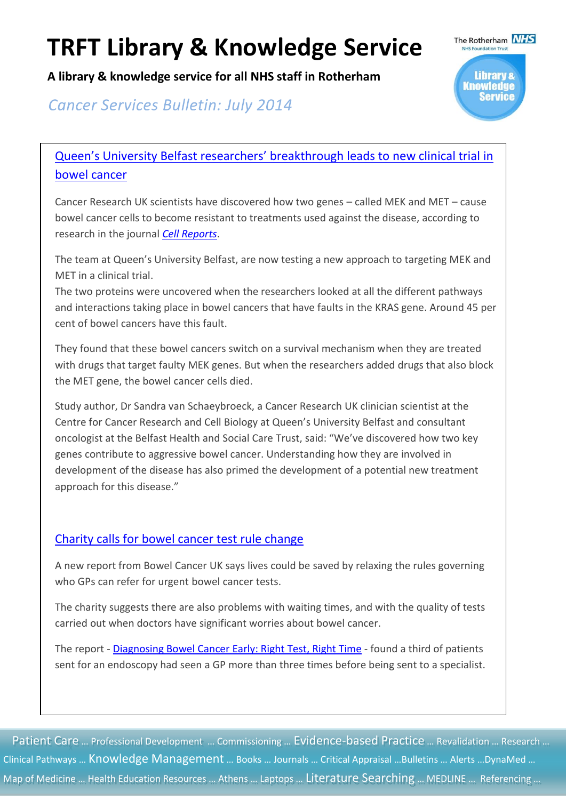**A library & knowledge service for all NHS staff in Rotherham**

The Rotherham **NHS Library &** Knowledae

### **Cancer Services Bulletin: July 2014**

### [Queen's University Belfast researchers' breakthrough](http://www.cancerresearchuk.org/about-us/cancer-news/press-release/queen%E2%80%99s-university-belfast-researchers%E2%80%99-breakthrough-leads-to-new-clinical-trial-in-bowel-cancer) leads to new clinical trial in [bowel cancer](http://www.cancerresearchuk.org/about-us/cancer-news/press-release/queen%E2%80%99s-university-belfast-researchers%E2%80%99-breakthrough-leads-to-new-clinical-trial-in-bowel-cancer)

Cancer Research UK scientists have discovered how two genes – called MEK and MET – cause bowel cancer cells to become resistant to treatments used against the disease, according to research in the journal *[Cell Reports](http://www.sciencedirect.com/science/article/pii/S2211124714004264)*.

The team at Queen's University Belfast, are now testing a new approach to targeting MEK and MET in a clinical trial.

The two proteins were uncovered when the researchers looked at all the different pathways and interactions taking place in bowel cancers that have faults in the KRAS gene. Around 45 per cent of bowel cancers have this fault.

They found that these bowel cancers switch on a survival mechanism when they are treated with drugs that target faulty MEK genes. But when the researchers added drugs that also block the MET gene, the bowel cancer cells died.

Study author, Dr Sandra van Schaeybroeck, a Cancer Research UK clinician scientist at the Centre for Cancer Research and Cell Biology at Queen's University Belfast and consultant oncologist at the Belfast Health and Social Care Trust, said: "We've discovered how two key genes contribute to aggressive bowel cancer. Understanding how they are involved in development of the disease has also primed the development of a potential new treatment approach for this disease."

#### [Charity calls for bowel cancer test rule change](http://www.cancerresearchuk.org/about-us/cancer-news/news-report/charity-calls-for-bowel-cancer-test-rule-change)

A new report from Bowel Cancer UK says lives could be saved by relaxing the rules governing who GPs can refer for urgent bowel cancer tests.

The charity suggests there are also problems with waiting times, and with the quality of tests carried out when doctors have significant worries about bowel cancer.

The report - [Diagnosing Bowel Cancer Early: Right Test, Right Time](http://www.bowelcanceruk.org.uk/campaigns-policy/latest-campaigns/right-test,-right-time/read-our-report/) - found a third of patients sent for an endoscopy had seen a GP more than three times before being sent to a specialist.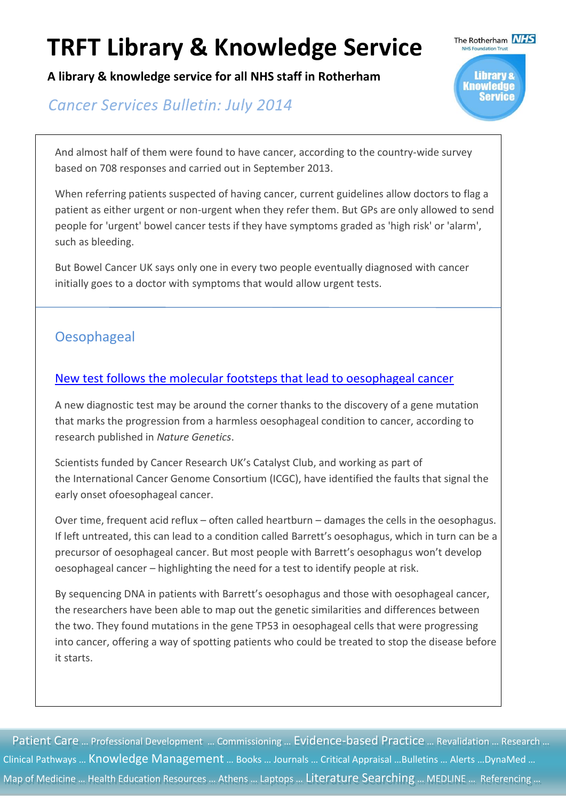**A library & knowledge service for all NHS staff in Rotherham**

### **Cancer Services Bulletin: July 2014**



And almost half of them were found to have cancer, according to the country-wide survey based on 708 responses and carried out in September 2013.

When referring patients suspected of having cancer, current guidelines allow doctors to flag a patient as either urgent or non-urgent when they refer them. But GPs are only allowed to send people for 'urgent' bowel cancer tests if they have symptoms graded as 'high risk' or 'alarm', such as bleeding.

But Bowel Cancer UK says only one in every two people eventually diagnosed with cancer initially goes to a doctor with symptoms that would allow urgent tests.

### **Oesophageal**

#### [New test follows the molecular footsteps that lead to oesophageal cancer](http://www.cancerresearchuk.org/about-us/cancer-news/press-release/new-test-follows-the-molecular-footsteps-that-lead-to-oesophageal-cancer)

A new diagnostic test may be around the corner thanks to the discovery of a gene mutation that marks the progression from a harmless oesophageal condition to cancer, according to research published in *Nature Genetics*.

Scientists funded by Cancer Research UK's Catalyst Club, and working as part of the International Cancer Genome Consortium (ICGC), have identified the faults that signal the early onset ofoesophageal cancer.

Over time, frequent acid reflux – often called heartburn – damages the cells in the oesophagus. If left untreated, this can lead to a condition called Barrett's oesophagus, which in turn can be a precursor of oesophageal cancer. But most people with Barrett's oesophagus won't develop oesophageal cancer – highlighting the need for a test to identify people at risk.

By sequencing DNA in patients with Barrett's oesophagus and those with oesophageal cancer, the researchers have been able to map out the genetic similarities and differences between the two. They found mutations in the gene TP53 in oesophageal cells that were progressing into cancer, offering a way of spotting patients who could be treated to stop the disease before it starts.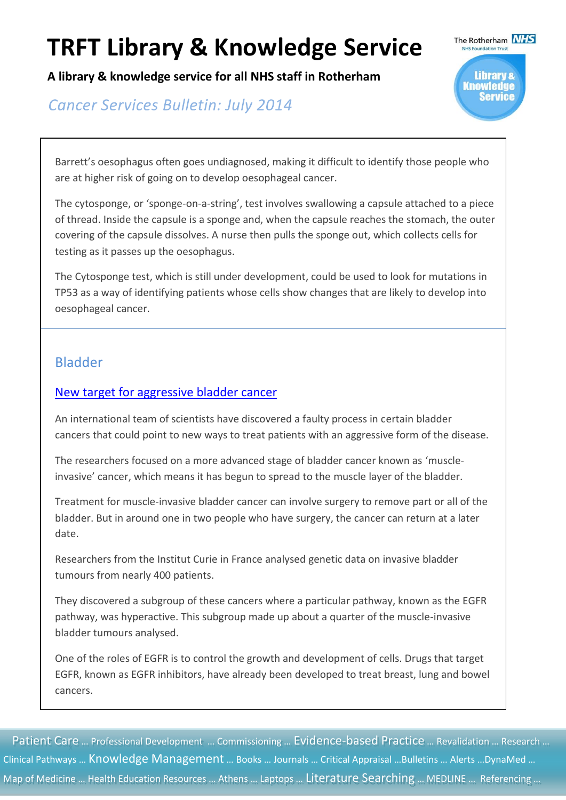**A library & knowledge service for all NHS staff in Rotherham**

**Cancer Services Bulletin: July 2014** 



Barrett's oesophagus often goes undiagnosed, making it difficult to identify those people who are at higher risk of going on to develop oesophageal cancer.

The cytosponge, or 'sponge-on-a-string', test involves swallowing a capsule attached to a piece of thread. Inside the capsule is a sponge and, when the capsule reaches the stomach, the outer covering of the capsule dissolves. A nurse then pulls the sponge out, which collects cells for testing as it passes up the oesophagus.

The Cytosponge test, which is still under development, could be used to look for mutations in TP53 as a way of identifying patients whose cells show changes that are likely to develop into oesophageal cancer.

#### Bladder

#### [New target for aggressive bladder cancer](http://www.cancerresearchuk.org/about-us/cancer-news/news-report/new-target-for-aggressive-bladder-cancer)

An international team of scientists have discovered a faulty process in certain bladder cancers that could point to new ways to treat patients with an aggressive form of the disease.

The researchers focused on a more advanced stage of bladder cancer known as 'muscleinvasive' cancer, which means it has begun to spread to the muscle layer of the bladder.

Treatment for muscle-invasive bladder cancer can involve surgery to remove part or all of the bladder. But in around one in two people who have surgery, the cancer can return at a later date.

Researchers from the Institut Curie in France analysed genetic data on invasive bladder tumours from nearly 400 patients.

They discovered a subgroup of these cancers where a particular pathway, known as the EGFR pathway, was hyperactive. This subgroup made up about a quarter of the muscle-invasive bladder tumours analysed.

One of the roles of EGFR is to control the growth and development of cells. Drugs that target EGFR, known as EGFR inhibitors, have already been developed to treat breast, lung and bowel cancers.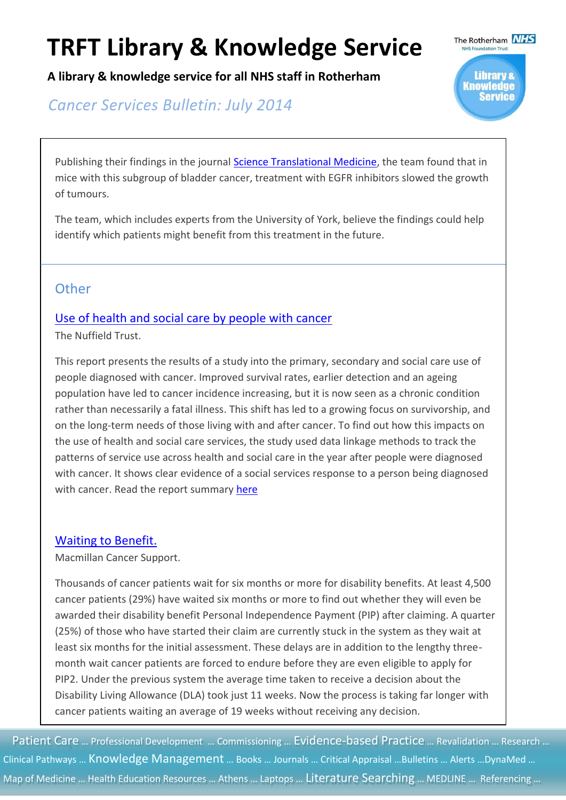**A library & knowledge service for all NHS staff in Rotherham**

**Cancer Services Bulletin: July 2014** 



Publishing their findings in the journal [Science Translational Medicine,](http://dx.doi.org/10.1126/scitranslmed.3008970) the team found that in mice with this subgroup of bladder cancer, treatment with EGFR inhibitors slowed the growth of tumours.

The team, which includes experts from the University of York, believe the findings could help identify which patients might benefit from this treatment in the future.

### **Other**

#### [Use of health and social care by people with cancer](http://www.nuffieldtrust.org.uk/sites/files/nuffield/140602_social_care_for_cancer_survivors_full_report.pdf)

The Nuffield Trust.

This report presents the results of a study into the primary, secondary and social care use of people diagnosed with cancer. Improved survival rates, earlier detection and an ageing population have led to cancer incidence increasing, but it is now seen as a chronic condition rather than necessarily a fatal illness. This shift has led to a growing focus on survivorship, and on the long-term needs of those living with and after cancer. To find out how this impacts on the use of health and social care services, the study used data linkage methods to track the patterns of service use across health and social care in the year after people were diagnosed with cancer. It shows clear evidence of a social services response to a person being diagnosed with cancer. Read the report summary [here](http://www.nuffieldtrust.org.uk/sites/files/nuffield/publication/140602_social_care_for_cancer_survivors_reserach_summary_final.pdf)

#### [Waiting to Benefit.](http://www.macmillan.org.uk/Documents/GetInvolved/Campaigns/Campaigns/WelfareReform/PIPexecsummary.pdf)

Macmillan Cancer Support.

Thousands of cancer patients wait for six months or more for disability benefits. At least 4,500 cancer patients (29%) have waited six months or more to find out whether they will even be awarded their disability benefit Personal Independence Payment (PIP) after claiming. A quarter (25%) of those who have started their claim are currently stuck in the system as they wait at least six months for the initial assessment. These delays are in addition to the lengthy threemonth wait cancer patients are forced to endure before they are even eligible to apply for PIP2. Under the previous system the average time taken to receive a decision about the Disability Living Allowance (DLA) took just 11 weeks. Now the process is taking far longer with cancer patients waiting an average of 19 weeks without receiving any decision.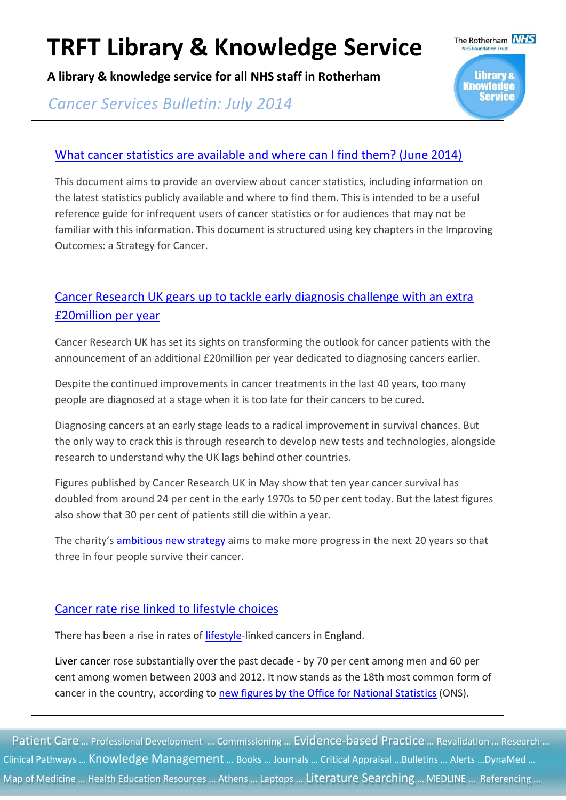**A library & knowledge service for all NHS staff in Rotherham**

**Cancer Services Bulletin: July 2014** 

#### [What cancer statistics are available and where can I find them? \(June 2014\)](http://www.ncin.org.uk/view?rid=2696)

This document aims to provide an overview about cancer statistics, including information on the latest statistics publicly available and where to find them. This is intended to be a useful reference guide for infrequent users of cancer statistics or for audiences that may not be familiar with this information. This document is structured using key chapters in the Improving Outcomes: a Strategy for Cancer.

The Rotherham **NHS** 

**Library &** Knowledge Service

### [Cancer Research UK gears up to tackle early diagnosis challenge with an extra](http://www.cancerresearchuk.org/about-us/cancer-news/press-release/cancer-research-uk-gears-up-to-tackle-early-diagnosis-challenge-with-an-extra-%C2%A320million-per-year)  [£20million per year](http://www.cancerresearchuk.org/about-us/cancer-news/press-release/cancer-research-uk-gears-up-to-tackle-early-diagnosis-challenge-with-an-extra-%C2%A320million-per-year)

Cancer Research UK has set its sights on transforming the outlook for cancer patients with the announcement of an additional £20million per year dedicated to diagnosing cancers earlier.

Despite the continued improvements in cancer treatments in the last 40 years, too many people are diagnosed at a stage when it is too late for their cancers to be cured.

Diagnosing cancers at an early stage leads to a radical improvement in survival chances. But the only way to crack this is through research to develop new tests and technologies, alongside research to understand why the UK lags behind other countries.

Figures published by Cancer Research UK in May show that ten year cancer survival has doubled from around 24 per cent in the early 1970s to 50 per cent today. But the latest figures also show that 30 per cent of patients still die within a year.

The charity's [ambitious new strategy](http://www.cancerresearchuk.org/about-us/our-organisation/beating-cancer-sooner-our-strategy) aims to make more progress in the next 20 years so that three in four people survive their cancer.

#### [Cancer rate rise linked to lifestyle choices](http://www.cancerresearchuk.org/about-us/cancer-news/news-report/cancer-rate-rise-linked-to-lifestyle-choices)

There has been a rise in rates of [lifestyle-](http://www.cancerresearchuk.org/cancer-info/healthyliving/introducingcancerprevention/)linked cancers in England.

Liver cancer rose substantially over the past decade - by 70 per cent among men and 60 per cent among women between 2003 and 2012. It now stands as the 18th most common form of cancer in the country, according to [new figures by the Office for National Statistics](http://www.ons.gov.uk/ons/rel/vsob1/cancer-statistics-registrations--england--series-mb1-/no--43--2012/stb-cancer-registrations-2012.html) (ONS).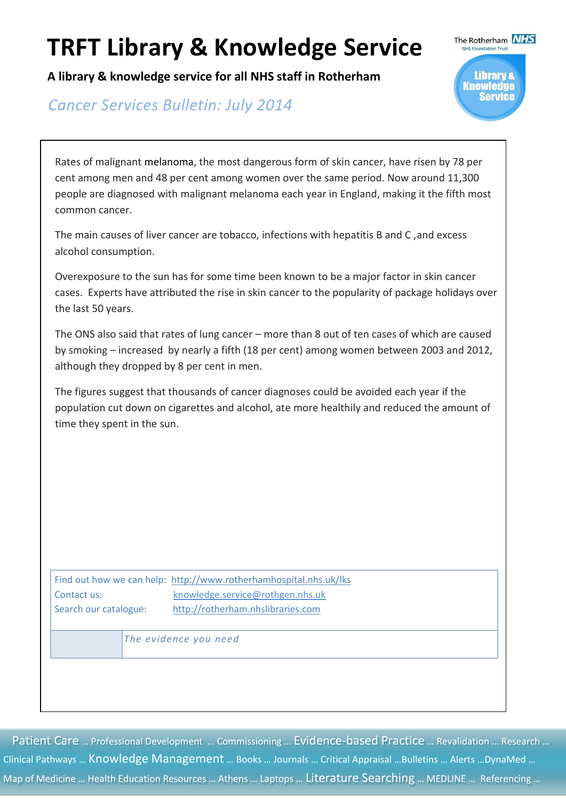**A library & knowledge service for all NHS staff in Rotherham**

**Cancer Services Bulletin: July 2014** 



Rates of malignant melanoma, the most dangerous form of skin cancer, have risen by 78 per cent among men and 48 per cent among women over the same period. Now around 11,300 people are diagnosed with malignant melanoma each year in England, making it the fifth most common cancer.

The main causes of liver cancer are tobacco, infections with hepatitis B and C ,and excess alcohol consumption.

Overexposure to the sun has for some time been known to be a major factor in skin cancer cases. Experts have attributed the rise in skin cancer to the popularity of package holidays over the last 50 years.

The ONS also said that rates of lung cancer – more than 8 out of ten cases of which are caused by smoking – increased by nearly a fifth (18 per cent) among women between 2003 and 2012, although they dropped by 8 per cent in men.

The figures suggest that thousands of cancer diagnoses could be avoided each year if the population cut down on cigarettes and alcohol, ate more healthily and reduced the amount of time they spent in the sun.

Find out how we can help: <http://www.rotherhamhospital.nhs.uk/lks> Contact us: [knowledge.service@rothgen.nhs.uk](mailto:knowledge.service@rothgen.nhs.uk) Search our catalogue: [http://rotherham.nhslibraries.com](http://rotherham.nhslibraries.com/)

 *The evidence you need*